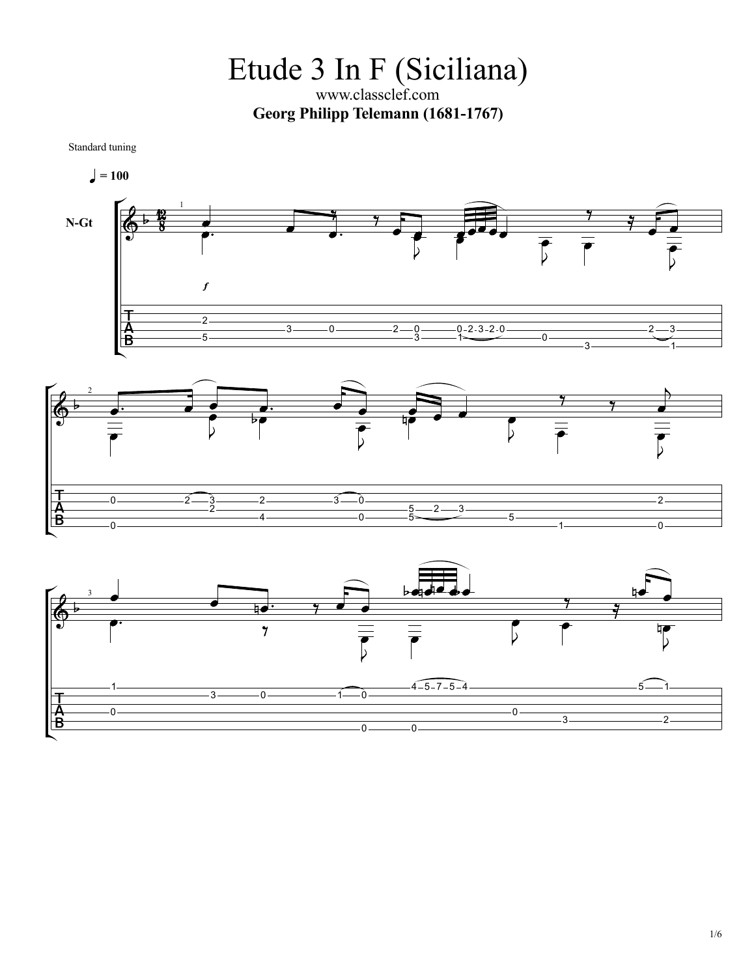Etude 3 In F (Siciliana)

www.classclef.com **Georg Philipp Telemann (1681-1767)**

Standard tuning

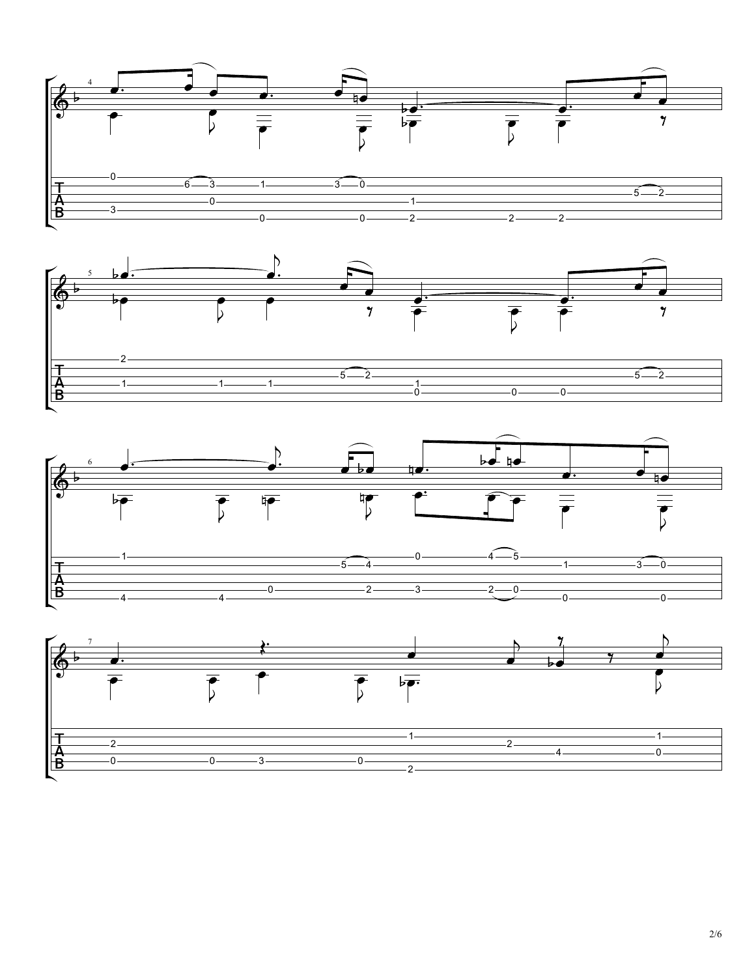





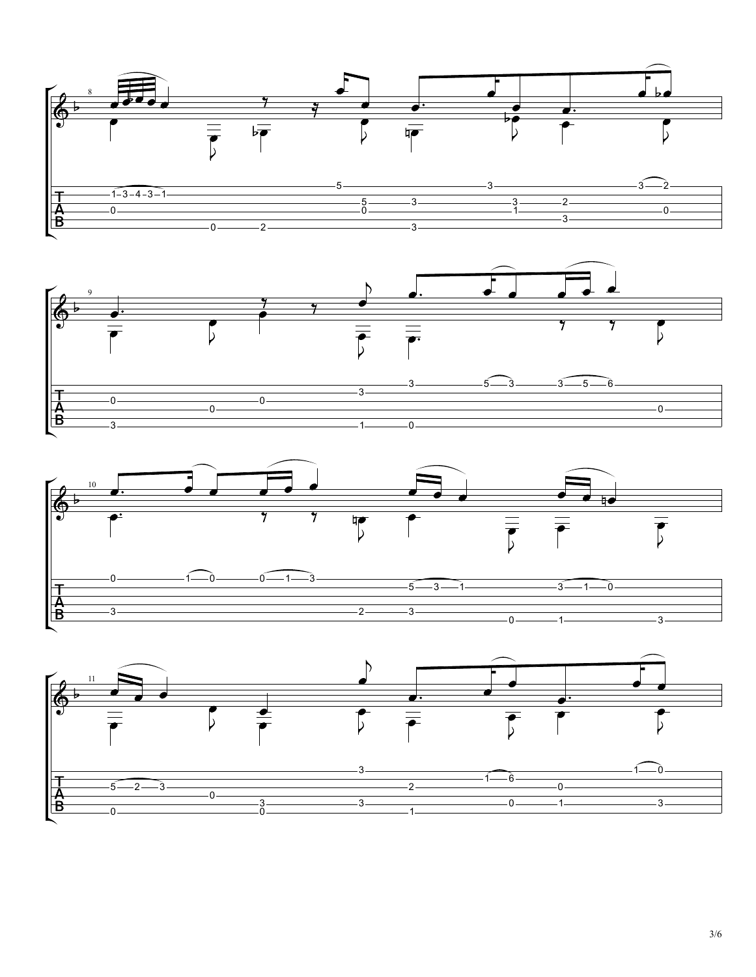





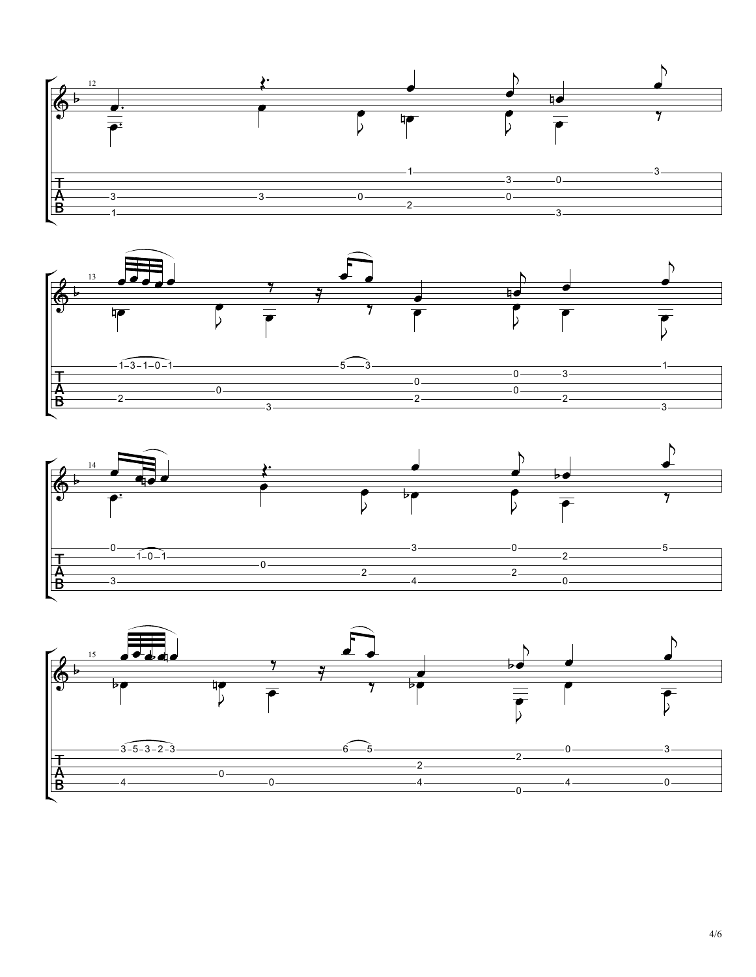





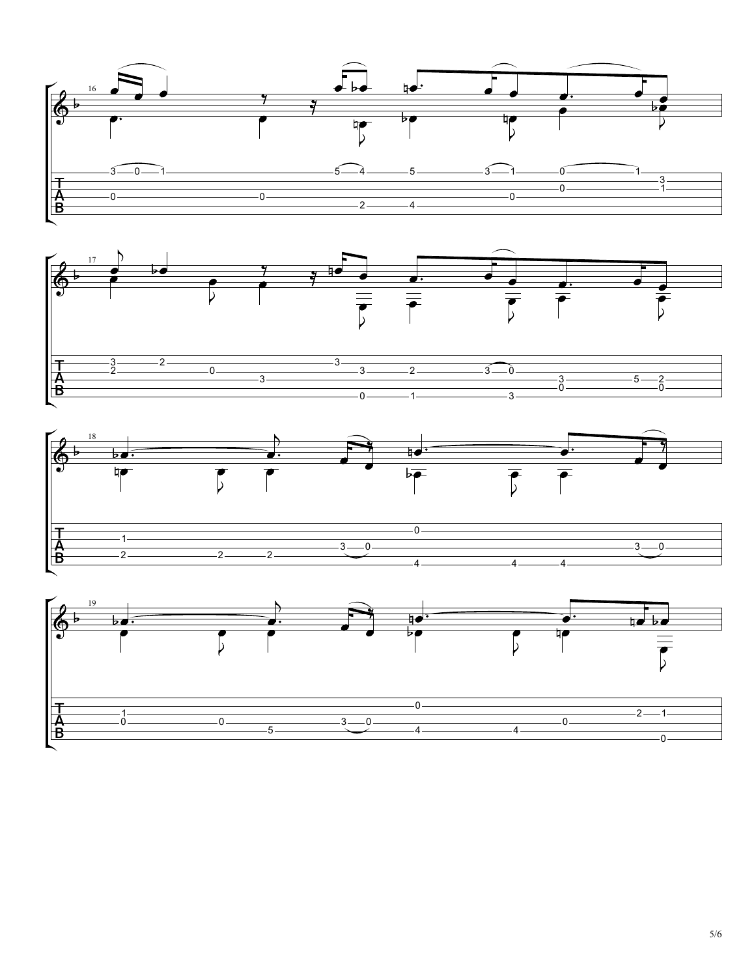